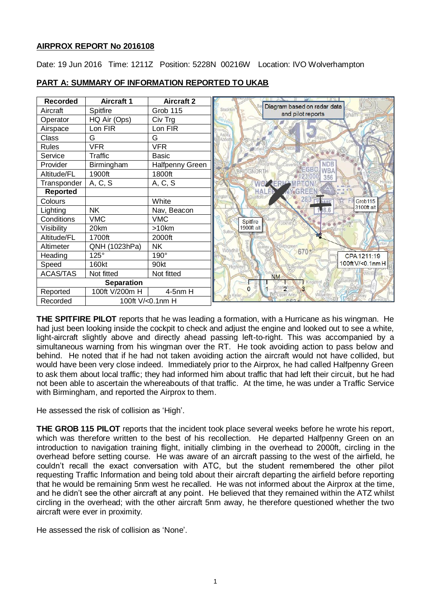# **AIRPROX REPORT No 2016108**

Date: 19 Jun 2016 Time: 1211Z Position: 5228N 00216W Location: IVO Wolverhampton

| <b>Recorded</b>   | <b>Aircraft 1</b> | <b>Aircraft 2</b>      |                                                                      |
|-------------------|-------------------|------------------------|----------------------------------------------------------------------|
| Aircraft          | Spitfire          | Grob 115               | Diagram based on radar data<br>Stockton<br>and pilot reports<br>gham |
| Operator          | HQ Air (Ops)      | Civ Trg                |                                                                      |
| Airspace          | Lon FIR           | Lon FIR                |                                                                      |
| Class             | G                 | G                      | <b>CW</b>                                                            |
| <b>Rules</b>      | <b>VFR</b>        | <b>VFR</b>             |                                                                      |
| Service           | Traffic           | <b>Basic</b>           |                                                                      |
| Provider          | Birmingham        | <b>Halfpenny Green</b> | <b>NDB</b>                                                           |
| Altitude/FL       | 1900ft            | 1800ft                 | WBA<br><b>BRIDGNORTA</b><br>356                                      |
| Transponder       | A, C, S           | A, C, S                | <b>AERE'</b>                                                         |
| <b>Reported</b>   |                   |                        | <b>HALE</b>                                                          |
| Colours           |                   | White                  | Grob <sub>115</sub>                                                  |
| Lighting          | <b>NK</b>         | Nav, Beacon            | 3100ft alt<br>8.6                                                    |
| Conditions        | <b>VMC</b>        | <b>VMC</b>             | Spitfire                                                             |
| Visibility        | 20km              | >10km                  | 1900ft alt                                                           |
| Altitude/FL       | 1700ft            | 2000ft                 |                                                                      |
| Altimeter         | QNH (1023hPa)     | <b>NK</b>              | <b>Noodhil</b>                                                       |
| Heading           | $125^\circ$       | 190°                   | 670<br>CPA 1211:19                                                   |
| Speed             | 160kt             | 90kt                   | 100ft V/<0.1nm H                                                     |
| <b>ACAS/TAS</b>   | Not fitted        | Not fitted             | <b>NM</b>                                                            |
| <b>Separation</b> |                   |                        |                                                                      |
| Reported          | 100ft V/200m H    | 4-5nm H                | $\overline{2}$<br>$\Omega$                                           |
| Recorded          | 100ft V/<0.1nm H  |                        |                                                                      |

# **PART A: SUMMARY OF INFORMATION REPORTED TO UKAB**

**THE SPITFIRE PILOT** reports that he was leading a formation, with a Hurricane as his wingman. He had just been looking inside the cockpit to check and adjust the engine and looked out to see a white, light-aircraft slightly above and directly ahead passing left-to-right. This was accompanied by a simultaneous warning from his wingman over the RT. He took avoiding action to pass below and behind. He noted that if he had not taken avoiding action the aircraft would not have collided, but would have been very close indeed. Immediately prior to the Airprox, he had called Halfpenny Green to ask them about local traffic; they had informed him about traffic that had left their circuit, but he had not been able to ascertain the whereabouts of that traffic. At the time, he was under a Traffic Service with Birmingham, and reported the Airprox to them.

He assessed the risk of collision as 'High'.

**THE GROB 115 PILOT** reports that the incident took place several weeks before he wrote his report, which was therefore written to the best of his recollection. He departed Halfpenny Green on an introduction to navigation training flight, initially climbing in the overhead to 2000ft, circling in the overhead before setting course. He was aware of an aircraft passing to the west of the airfield, he couldn't recall the exact conversation with ATC, but the student remembered the other pilot requesting Traffic Information and being told about their aircraft departing the airfield before reporting that he would be remaining 5nm west he recalled. He was not informed about the Airprox at the time, and he didn't see the other aircraft at any point. He believed that they remained within the ATZ whilst circling in the overhead; with the other aircraft 5nm away, he therefore questioned whether the two aircraft were ever in proximity.

He assessed the risk of collision as 'None'.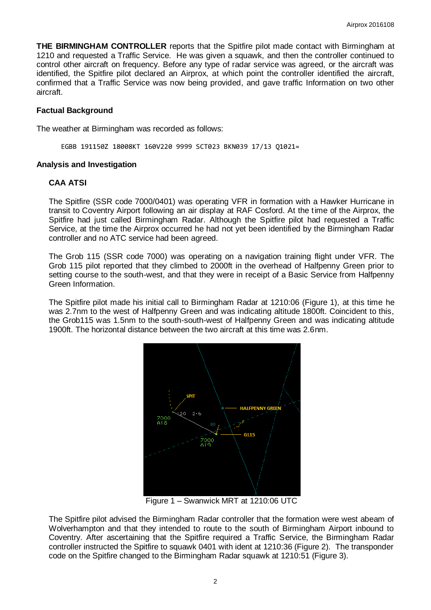**THE BIRMINGHAM CONTROLLER** reports that the Spitfire pilot made contact with Birmingham at 1210 and requested a Traffic Service. He was given a squawk, and then the controller continued to control other aircraft on frequency. Before any type of radar service was agreed, or the aircraft was identified, the Spitfire pilot declared an Airprox, at which point the controller identified the aircraft, confirmed that a Traffic Service was now being provided, and gave traffic Information on two other aircraft.

### **Factual Background**

The weather at Birmingham was recorded as follows:

EGBB 191150Z 18008KT 160V220 9999 SCT023 BKN039 17/13 Q1021=

### **Analysis and Investigation**

### **CAA ATSI**

The Spitfire (SSR code 7000/0401) was operating VFR in formation with a Hawker Hurricane in transit to Coventry Airport following an air display at RAF Cosford. At the time of the Airprox, the Spitfire had just called Birmingham Radar. Although the Spitfire pilot had requested a Traffic Service, at the time the Airprox occurred he had not yet been identified by the Birmingham Radar controller and no ATC service had been agreed.

The Grob 115 (SSR code 7000) was operating on a navigation training flight under VFR. The Grob 115 pilot reported that they climbed to 2000ft in the overhead of Halfpenny Green prior to setting course to the south-west, and that they were in receipt of a Basic Service from Halfpenny Green Information.

The Spitfire pilot made his initial call to Birmingham Radar at 1210:06 (Figure 1), at this time he was 2.7nm to the west of Halfpenny Green and was indicating altitude 1800ft. Coincident to this, the Grob115 was 1.5nm to the south-south-west of Halfpenny Green and was indicating altitude 1900ft. The horizontal distance between the two aircraft at this time was 2.6nm.



Figure 1 – Swanwick MRT at 1210:06 UTC

The Spitfire pilot advised the Birmingham Radar controller that the formation were west abeam of Wolverhampton and that they intended to route to the south of Birmingham Airport inbound to Coventry. After ascertaining that the Spitfire required a Traffic Service, the Birmingham Radar controller instructed the Spitfire to squawk 0401 with ident at 1210:36 (Figure 2). The transponder code on the Spitfire changed to the Birmingham Radar squawk at 1210:51 (Figure 3).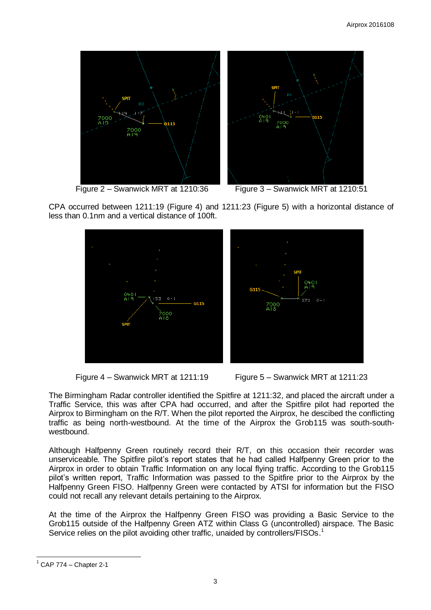

Figure 2 – Swanwick MRT at 1210:36 Figure 3 – Swanwick MRT at 1210:51

CPA occurred between 1211:19 (Figure 4) and 1211:23 (Figure 5) with a horizontal distance of less than 0.1nm and a vertical distance of 100ft.





The Birmingham Radar controller identified the Spitfire at 1211:32, and placed the aircraft under a Traffic Service, this was after CPA had occurred, and after the Spitfire pilot had reported the Airprox to Birmingham on the R/T. When the pilot reported the Airprox, he descibed the conflicting traffic as being north-westbound. At the time of the Airprox the Grob115 was south-southwestbound.

Although Halfpenny Green routinely record their R/T, on this occasion their recorder was unserviceable. The Spitfire pilot's report states that he had called Halfpenny Green prior to the Airprox in order to obtain Traffic Information on any local flying traffic. According to the Grob115 pilot's written report, Traffic Information was passed to the Spitfire prior to the Airprox by the Halfpenny Green FISO. Halfpenny Green were contacted by ATSI for information but the FISO could not recall any relevant details pertaining to the Airprox.

At the time of the Airprox the Halfpenny Green FISO was providing a Basic Service to the Grob115 outside of the Halfpenny Green ATZ within Class G (uncontrolled) airspace. The Basic Service relies on the pilot avoiding other traffic, unaided by controllers/FISOs.<sup>1</sup>

 $\overline{a}$  $1$  CAP 774 – Chapter 2-1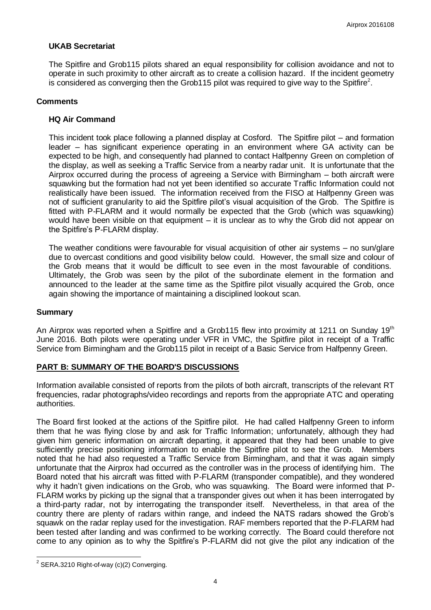# **UKAB Secretariat**

The Spitfire and Grob115 pilots shared an equal responsibility for collision avoidance and not to operate in such proximity to other aircraft as to create a collision hazard. If the incident geometry is considered as converging then the Grob115 pilot was required to give way to the Spitfire $^2$ .

### **Comments**

# **HQ Air Command**

This incident took place following a planned display at Cosford. The Spitfire pilot – and formation leader – has significant experience operating in an environment where GA activity can be expected to be high, and consequently had planned to contact Halfpenny Green on completion of the display, as well as seeking a Traffic Service from a nearby radar unit. It is unfortunate that the Airprox occurred during the process of agreeing a Service with Birmingham – both aircraft were squawking but the formation had not yet been identified so accurate Traffic Information could not realistically have been issued. The information received from the FISO at Halfpenny Green was not of sufficient granularity to aid the Spitfire pilot's visual acquisition of the Grob. The Spitfire is fitted with P-FLARM and it would normally be expected that the Grob (which was squawking) would have been visible on that equipment – it is unclear as to why the Grob did not appear on the Spitfire's P-FLARM display.

The weather conditions were favourable for visual acquisition of other air systems – no sun/glare due to overcast conditions and good visibility below could. However, the small size and colour of the Grob means that it would be difficult to see even in the most favourable of conditions. Ultimately, the Grob was seen by the pilot of the subordinate element in the formation and announced to the leader at the same time as the Spitfire pilot visually acquired the Grob, once again showing the importance of maintaining a disciplined lookout scan.

#### **Summary**

An Airprox was reported when a Spitfire and a Grob115 flew into proximity at 1211 on Sunday 19<sup>th</sup> June 2016. Both pilots were operating under VFR in VMC, the Spitfire pilot in receipt of a Traffic Service from Birmingham and the Grob115 pilot in receipt of a Basic Service from Halfpenny Green.

# **PART B: SUMMARY OF THE BOARD'S DISCUSSIONS**

Information available consisted of reports from the pilots of both aircraft, transcripts of the relevant RT frequencies, radar photographs/video recordings and reports from the appropriate ATC and operating authorities.

The Board first looked at the actions of the Spitfire pilot. He had called Halfpenny Green to inform them that he was flying close by and ask for Traffic Information; unfortunately, although they had given him generic information on aircraft departing, it appeared that they had been unable to give sufficiently precise positioning information to enable the Spitfire pilot to see the Grob. Members noted that he had also requested a Traffic Service from Birmingham, and that it was again simply unfortunate that the Airprox had occurred as the controller was in the process of identifying him. The Board noted that his aircraft was fitted with P-FLARM (transponder compatible), and they wondered why it hadn't given indications on the Grob, who was squawking. The Board were informed that P-FLARM works by picking up the signal that a transponder gives out when it has been interrogated by a third-party radar, not by interrogating the transponder itself. Nevertheless, in that area of the country there are plenty of radars within range, and indeed the NATS radars showed the Grob's squawk on the radar replay used for the investigation. RAF members reported that the P-FLARM had been tested after landing and was confirmed to be working correctly. The Board could therefore not come to any opinion as to why the Spitfire's P-FLARM did not give the pilot any indication of the

 2 SERA.3210 Right-of-way (c)(2) Converging.